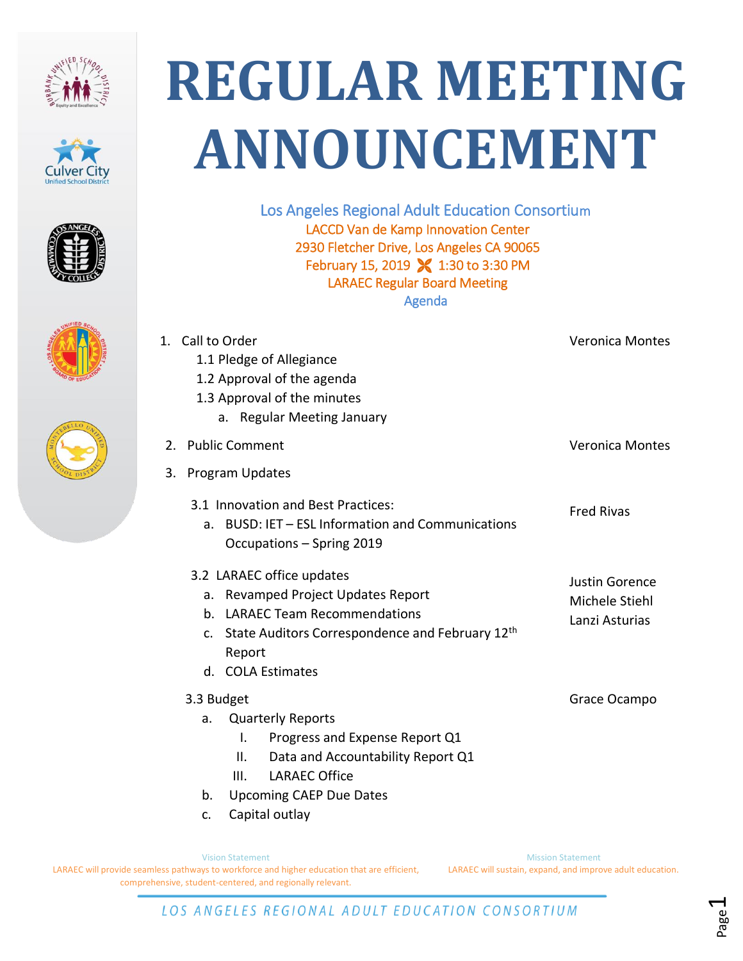









## **REGULAR MEETING ANNOUNCEMENT**

Los Angeles Regional Adult Education Consortium LACCD Van de Kamp Innovation Center 2930 Fletcher Drive, Los Angeles CA 90065 February 15, 2019 **X** 1:30 to 3:30 PM LARAEC Regular Board Meeting Agenda

| 1. Call to Order<br>1.1 Pledge of Allegiance<br>1.2 Approval of the agenda<br>1.3 Approval of the minutes<br>a. Regular Meeting January                                                | <b>Veronica Montes</b>                             |
|----------------------------------------------------------------------------------------------------------------------------------------------------------------------------------------|----------------------------------------------------|
| 2. Public Comment                                                                                                                                                                      | <b>Veronica Montes</b>                             |
| <b>Program Updates</b><br>3.                                                                                                                                                           |                                                    |
| 3.1 Innovation and Best Practices:<br>a. BUSD: IET - ESL Information and Communications<br>Occupations - Spring 2019                                                                   | <b>Fred Rivas</b>                                  |
| 3.2 LARAEC office updates<br>a. Revamped Project Updates Report<br>b. LARAEC Team Recommendations<br>c. State Auditors Correspondence and February 12th<br>Report<br>d. COLA Estimates | Justin Gorence<br>Michele Stiehl<br>Lanzi Asturias |
| 3.3 Budget<br><b>Quarterly Reports</b><br>a.<br>Progress and Expense Report Q1<br>Τ.<br>Data and Accountability Report Q1<br>Ш.<br><b>LARAEC Office</b><br>III.                        | Grace Ocampo                                       |
| <b>Upcoming CAEP Due Dates</b><br>b.                                                                                                                                                   |                                                    |
| Capital outlay<br>c.                                                                                                                                                                   |                                                    |

Vision Statement LARAEC will provide seamless pathways to workforce and higher education that are efficient, comprehensive, student-centered, and regionally relevant.

Mission Statement LARAEC will sustain, expand, and improve adult education.

> Page  $\overline{\phantom{0}}$